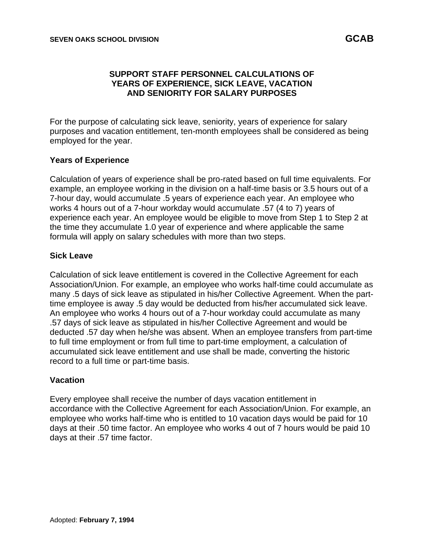## **SUPPORT STAFF PERSONNEL CALCULATIONS OF YEARS OF EXPERIENCE, SICK LEAVE, VACATION AND SENIORITY FOR SALARY PURPOSES**

For the purpose of calculating sick leave, seniority, years of experience for salary purposes and vacation entitlement, ten-month employees shall be considered as being employed for the year.

### **Years of Experience**

Calculation of years of experience shall be pro-rated based on full time equivalents. For example, an employee working in the division on a half-time basis or 3.5 hours out of a 7-hour day, would accumulate .5 years of experience each year. An employee who works 4 hours out of a 7-hour workday would accumulate .57 (4 to 7) years of experience each year. An employee would be eligible to move from Step 1 to Step 2 at the time they accumulate 1.0 year of experience and where applicable the same formula will apply on salary schedules with more than two steps.

#### **Sick Leave**

Calculation of sick leave entitlement is covered in the Collective Agreement for each Association/Union. For example, an employee who works half-time could accumulate as many .5 days of sick leave as stipulated in his/her Collective Agreement. When the parttime employee is away .5 day would be deducted from his/her accumulated sick leave. An employee who works 4 hours out of a 7-hour workday could accumulate as many .57 days of sick leave as stipulated in his/her Collective Agreement and would be deducted .57 day when he/she was absent. When an employee transfers from part-time to full time employment or from full time to part-time employment, a calculation of accumulated sick leave entitlement and use shall be made, converting the historic record to a full time or part-time basis.

#### **Vacation**

Every employee shall receive the number of days vacation entitlement in accordance with the Collective Agreement for each Association/Union. For example, an employee who works half-time who is entitled to 10 vacation days would be paid for 10 days at their .50 time factor. An employee who works 4 out of 7 hours would be paid 10 days at their .57 time factor.